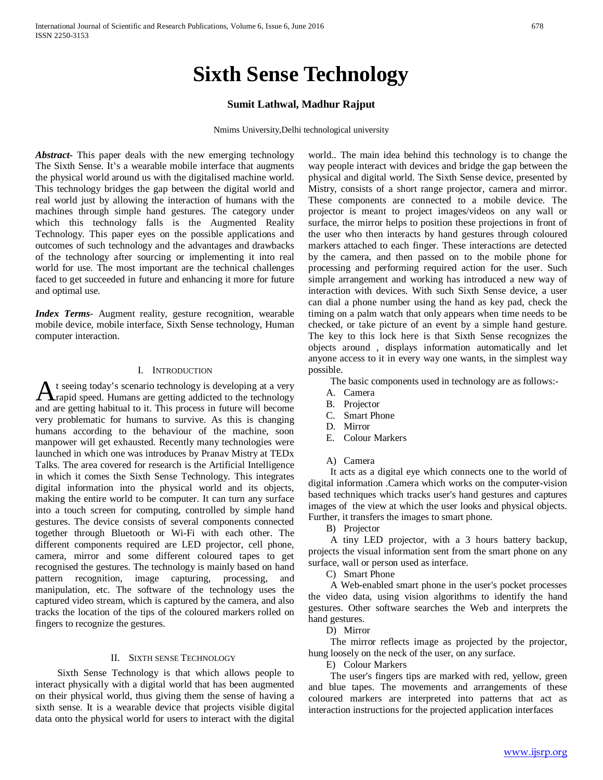# **Sixth Sense Technology**

# **Sumit Lathwal, Madhur Rajput**

Nmims University,Delhi technological university

*Abstract***-** This paper deals with the new emerging technology The Sixth Sense. It's a wearable mobile interface that augments the physical world around us with the digitalised machine world. This technology bridges the gap between the digital world and real world just by allowing the interaction of humans with the machines through simple hand gestures. The category under which this technology falls is the Augmented Reality Technology. This paper eyes on the possible applications and outcomes of such technology and the advantages and drawbacks of the technology after sourcing or implementing it into real world for use. The most important are the technical challenges faced to get succeeded in future and enhancing it more for future and optimal use.

*Index Terms*- Augment reality, gesture recognition, wearable mobile device, mobile interface, Sixth Sense technology, Human computer interaction.

## I. INTRODUCTION

t seeing today's scenario technology is developing at a very A t seeing today's scenario technology is developing at a very<br>Arapid speed. Humans are getting addicted to the technology and are getting habitual to it. This process in future will become very problematic for humans to survive. As this is changing humans according to the behaviour of the machine, soon manpower will get exhausted. Recently many technologies were launched in which one was introduces by Pranav Mistry at TEDx Talks. The area covered for research is the Artificial Intelligence in which it comes the Sixth Sense Technology. This integrates digital information into the physical world and its objects, making the entire world to be computer. It can turn any surface into a touch screen for computing, controlled by simple hand gestures. The device consists of several components connected together through Bluetooth or Wi-Fi with each other. The different components required are LED projector, cell phone, camera, mirror and some different coloured tapes to get recognised the gestures. The technology is mainly based on hand pattern recognition, image capturing, processing, and manipulation, etc. The software of the technology uses the captured video stream, which is captured by the camera, and also tracks the location of the tips of the coloured markers rolled on fingers to recognize the gestures.

#### II. SIXTH SENSE TECHNOLOGY

 Sixth Sense Technology is that which allows people to interact physically with a digital world that has been augmented on their physical world, thus giving them the sense of having a sixth sense. It is a wearable device that projects visible digital data onto the physical world for users to interact with the digital world.. The main idea behind this technology is to change the way people interact with devices and bridge the gap between the physical and digital world. The Sixth Sense device, presented by Mistry, consists of a short range projector, camera and mirror. These components are connected to a mobile device. The projector is meant to project images/videos on any wall or surface, the mirror helps to position these projections in front of the user who then interacts by hand gestures through coloured markers attached to each finger. These interactions are detected by the camera, and then passed on to the mobile phone for processing and performing required action for the user. Such simple arrangement and working has introduced a new way of interaction with devices. With such Sixth Sense device, a user can dial a phone number using the hand as key pad, check the timing on a palm watch that only appears when time needs to be checked, or take picture of an event by a simple hand gesture. The key to this lock here is that Sixth Sense recognizes the objects around , displays information automatically and let anyone access to it in every way one wants, in the simplest way possible.

The basic components used in technology are as follows:-

- A. Camera
- B. Projector
- C. Smart Phone
- D. Mirror
- E. Colour Markers
- A) Camera

 It acts as a digital eye which connects one to the world of digital information .Camera which works on the computer-vision based techniques which tracks user's hand gestures and captures images of the view at which the user looks and physical objects. Further, it transfers the images to smart phone.

B) Projector

 A tiny LED projector, with a 3 hours battery backup, projects the visual information sent from the smart phone on any surface, wall or person used as interface.

C) Smart Phone

 A Web-enabled smart phone in the user's pocket processes the video data, using vision algorithms to identify the hand gestures. Other software searches the Web and interprets the hand gestures.

D) Mirror

 The mirror reflects image as projected by the projector, hung loosely on the neck of the user, on any surface.

E) Colour Markers

 The user's fingers tips are marked with red, yellow, green and blue tapes. The movements and arrangements of these coloured markers are interpreted into patterns that act as interaction instructions for the projected application interfaces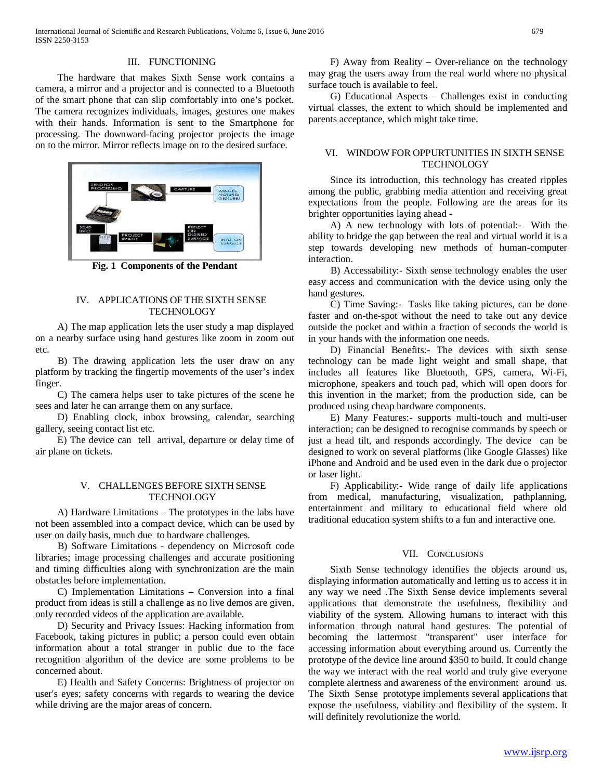## III. FUNCTIONING

 The hardware that makes Sixth Sense work contains a camera, a mirror and a projector and is connected to a Bluetooth of the smart phone that can slip comfortably into one's pocket. The camera recognizes individuals, images, gestures one makes with their hands. Information is sent to the Smartphone for processing. The downward-facing projector projects the image on to the mirror. Mirror reflects image on to the desired surface.



**Fig. 1 Components of the Pendant**

## IV. APPLICATIONS OF THE SIXTH SENSE **TECHNOLOGY**

 A) The map application lets the user study a map displayed on a nearby surface using hand gestures like zoom in zoom out etc.

 B) The drawing application lets the user draw on any platform by tracking the fingertip movements of the user's index finger.

 C) The camera helps user to take pictures of the scene he sees and later he can arrange them on any surface.

 D) Enabling clock, inbox browsing, calendar, searching gallery, seeing contact list etc.

 E) The device can tell arrival, departure or delay time of air plane on tickets.

## V. CHALLENGES BEFORE SIXTH SENSE **TECHNOLOGY**

 A) Hardware Limitations – The prototypes in the labs have not been assembled into a compact device, which can be used by user on daily basis, much due to hardware challenges.

 B) Software Limitations - dependency on Microsoft code libraries; image processing challenges and accurate positioning and timing difficulties along with synchronization are the main obstacles before implementation.

 C) Implementation Limitations – Conversion into a final product from ideas is still a challenge as no live demos are given, only recorded videos of the application are available.

 D) Security and Privacy Issues: Hacking information from Facebook, taking pictures in public; a person could even obtain information about a total stranger in public due to the face recognition algorithm of the device are some problems to be concerned about.

 E) Health and Safety Concerns: Brightness of projector on user's eyes; safety concerns with regards to wearing the device while driving are the major areas of concern.

 F) Away from Reality – Over-reliance on the technology may grag the users away from the real world where no physical surface touch is available to feel.

 G) Educational Aspects – Challenges exist in conducting virtual classes, the extent to which should be implemented and parents acceptance, which might take time.

#### VI. WINDOW FOR OPPURTUNITIES IN SIXTH SENSE **TECHNOLOGY**

 Since its introduction, this technology has created ripples among the public, grabbing media attention and receiving great expectations from the people. Following are the areas for its brighter opportunities laying ahead -

A) A new technology with lots of potential:- With the ability to bridge the gap between the real and virtual world it is a step towards developing new methods of human-computer interaction.

 B) Accessability:- Sixth sense technology enables the user easy access and communication with the device using only the hand gestures.

 C) Time Saving:- Tasks like taking pictures, can be done faster and on-the-spot without the need to take out any device outside the pocket and within a fraction of seconds the world is in your hands with the information one needs.

 D) Financial Benefits:- The devices with sixth sense technology can be made light weight and small shape, that includes all features like Bluetooth, GPS, camera, Wi-Fi, microphone, speakers and touch pad, which will open doors for this invention in the market; from the production side, can be produced using cheap hardware components.

 E) Many Features:- supports multi-touch and multi-user interaction; can be designed to recognise commands by speech or just a head tilt, and responds accordingly. The device can be designed to work on several platforms (like Google Glasses) like iPhone and Android and be used even in the dark due o projector or laser light.

 F) Applicability:- Wide range of daily life applications from medical, manufacturing, visualization, pathplanning, entertainment and military to educational field where old traditional education system shifts to a fun and interactive one.

#### VII. CONCLUSIONS

 Sixth Sense technology identifies the objects around us, displaying information automatically and letting us to access it in any way we need .The Sixth Sense device implements several applications that demonstrate the usefulness, flexibility and viability of the system. Allowing humans to interact with this information through natural hand gestures. The potential of becoming the lattermost "transparent" user interface for accessing information about everything around us. Currently the prototype of the device line around \$350 to build. It could change the way we interact with the real world and truly give everyone complete alertness and awareness of the environment around us. The Sixth Sense prototype implements several applications that expose the usefulness, viability and flexibility of the system. It will definitely revolutionize the world.